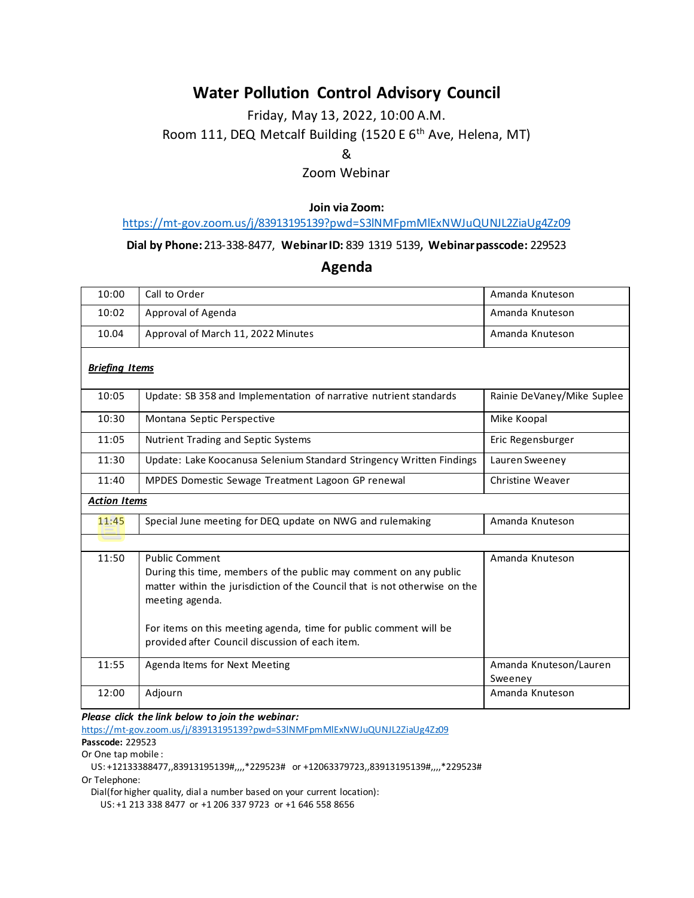## **Water Pollution Control Advisory Council**

## Friday, May 13, 2022, 10:00 A.M. Room 111, DEQ Metcalf Building (1520 E 6<sup>th</sup> Ave, Helena, MT)

&

Zoom Webinar

**Join via Zoom:**

<https://mt-gov.zoom.us/j/83913195139?pwd=S3lNMFpmMlExNWJuQUNJL2ZiaUg4Zz09>

**Dial by Phone:**213-338-8477, **WebinarID:** 839 1319 5139, **Webinarpasscode:** 229523

**Agenda**

| 10:00                 | Call to Order                                                                                                                                                                               | Amanda Knuteson                   |
|-----------------------|---------------------------------------------------------------------------------------------------------------------------------------------------------------------------------------------|-----------------------------------|
| 10:02                 | Approval of Agenda                                                                                                                                                                          | Amanda Knuteson                   |
| 10.04                 | Approval of March 11, 2022 Minutes                                                                                                                                                          | Amanda Knuteson                   |
| <b>Briefing Items</b> |                                                                                                                                                                                             |                                   |
| 10:05                 | Update: SB 358 and Implementation of narrative nutrient standards                                                                                                                           | Rainie DeVaney/Mike Suplee        |
| 10:30                 | Montana Septic Perspective                                                                                                                                                                  | Mike Koopal                       |
| 11:05                 | <b>Nutrient Trading and Septic Systems</b>                                                                                                                                                  | Eric Regensburger                 |
| 11:30                 | Update: Lake Koocanusa Selenium Standard Stringency Written Findings                                                                                                                        | Lauren Sweeney                    |
| 11:40                 | MPDES Domestic Sewage Treatment Lagoon GP renewal                                                                                                                                           | Christine Weaver                  |
| <b>Action Items</b>   |                                                                                                                                                                                             |                                   |
| 11:45                 | Special June meeting for DEQ update on NWG and rulemaking                                                                                                                                   | Amanda Knuteson                   |
|                       |                                                                                                                                                                                             |                                   |
| 11:50                 | <b>Public Comment</b><br>During this time, members of the public may comment on any public<br>matter within the jurisdiction of the Council that is not otherwise on the<br>meeting agenda. | Amanda Knuteson                   |
|                       | For items on this meeting agenda, time for public comment will be<br>provided after Council discussion of each item.                                                                        |                                   |
| 11:55                 | Agenda Items for Next Meeting                                                                                                                                                               | Amanda Knuteson/Lauren<br>Sweeney |
| 12:00                 | Adjourn                                                                                                                                                                                     | Amanda Knuteson                   |

*Please click the link below to join the webinar:*

<https://mt-gov.zoom.us/j/83913195139?pwd=S3lNMFpmMlExNWJuQUNJL2ZiaUg4Zz09> **Passcode:** 229523

Or One tap mobile :

 US: +12133388477,,83913195139#,,,,\*229523# or +12063379723,,83913195139#,,,,\*229523# Or Telephone:

Dial(for higher quality, dial a number based on your current location):

US: +1 213 338 8477 or +1 206 337 9723 or +1 646 558 8656